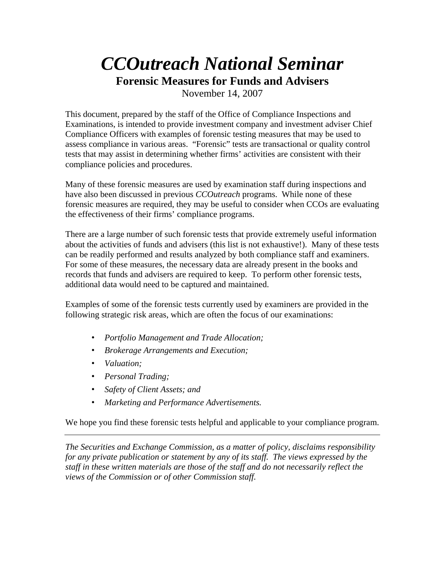# *CCOutreach National Seminar*

**Forensic Measures for Funds and Advisers** 

November 14, 2007

This document, prepared by the staff of the Office of Compliance Inspections and Examinations, is intended to provide investment company and investment adviser Chief Compliance Officers with examples of forensic testing measures that may be used to assess compliance in various areas. "Forensic" tests are transactional or quality control tests that may assist in determining whether firms' activities are consistent with their compliance policies and procedures.

Many of these forensic measures are used by examination staff during inspections and have also been discussed in previous *CCOutreach* programs. While none of these forensic measures are required, they may be useful to consider when CCOs are evaluating the effectiveness of their firms' compliance programs.

There are a large number of such forensic tests that provide extremely useful information about the activities of funds and advisers (this list is not exhaustive!). Many of these tests can be readily performed and results analyzed by both compliance staff and examiners. For some of these measures, the necessary data are already present in the books and records that funds and advisers are required to keep. To perform other forensic tests, additional data would need to be captured and maintained.

Examples of some of the forensic tests currently used by examiners are provided in the following strategic risk areas, which are often the focus of our examinations:

- *Portfolio Management and Trade Allocation;*
- *Brokerage Arrangements and Execution;*
- *Valuation;*
- *Personal Trading;*
- *Safety of Client Assets; and*
- *Marketing and Performance Advertisements.*

We hope you find these forensic tests helpful and applicable to your compliance program.

*The Securities and Exchange Commission, as a matter of policy, disclaims responsibility for any private publication or statement by any of its staff. The views expressed by the staff in these written materials are those of the staff and do not necessarily reflect the views of the Commission or of other Commission staff.*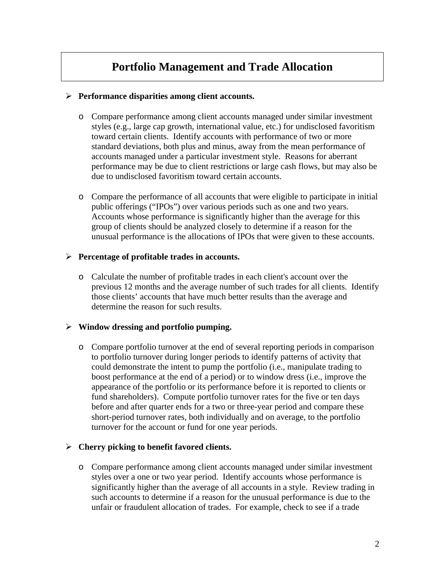# **Portfolio Management and Trade Allocation**

## ¾ **Performance disparities among client accounts.**

- o Compare performance among client accounts managed under similar investment styles (e.g., large cap growth, international value, etc.) for undisclosed favoritism toward certain clients. Identify accounts with performance of two or more standard deviations, both plus and minus, away from the mean performance of accounts managed under a particular investment style. Reasons for aberrant performance may be due to client restrictions or large cash flows, but may also be due to undisclosed favoritism toward certain accounts.
- o Compare the performance of all accounts that were eligible to participate in initial public offerings ("IPOs") over various periods such as one and two years. Accounts whose performance is significantly higher than the average for this group of clients should be analyzed closely to determine if a reason for the unusual performance is the allocations of IPOs that were given to these accounts.

#### ¾ **Percentage of profitable trades in accounts.**

o Calculate the number of profitable trades in each client's account over the previous 12 months and the average number of such trades for all clients. Identify those clients' accounts that have much better results than the average and determine the reason for such results.

## ¾ **Window dressing and portfolio pumping.**

o Compare portfolio turnover at the end of several reporting periods in comparison to portfolio turnover during longer periods to identify patterns of activity that could demonstrate the intent to pump the portfolio (i.e., manipulate trading to boost performance at the end of a period) or to window dress (i.e., improve the appearance of the portfolio or its performance before it is reported to clients or fund shareholders). Compute portfolio turnover rates for the five or ten days before and after quarter ends for a two or three-year period and compare these short-period turnover rates, both individually and on average, to the portfolio turnover for the account or fund for one year periods.

## ¾ **Cherry picking to benefit favored clients.**

o Compare performance among client accounts managed under similar investment styles over a one or two year period. Identify accounts whose performance is significantly higher than the average of all accounts in a style. Review trading in such accounts to determine if a reason for the unusual performance is due to the unfair or fraudulent allocation of trades. For example, check to see if a trade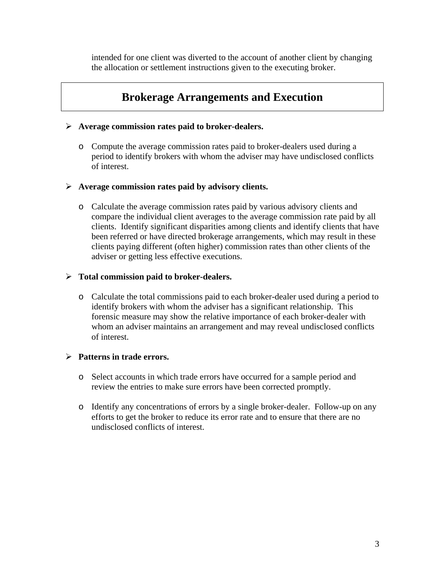intended for one client was diverted to the account of another client by changing the allocation or settlement instructions given to the executing broker.

# **Brokerage Arrangements and Execution**

#### ¾ **Average commission rates paid to broker-dealers.**

o Compute the average commission rates paid to broker-dealers used during a period to identify brokers with whom the adviser may have undisclosed conflicts of interest.

#### ¾ **Average commission rates paid by advisory clients.**

o Calculate the average commission rates paid by various advisory clients and compare the individual client averages to the average commission rate paid by all clients. Identify significant disparities among clients and identify clients that have been referred or have directed brokerage arrangements, which may result in these clients paying different (often higher) commission rates than other clients of the adviser or getting less effective executions.

#### ¾ **Total commission paid to broker-dealers.**

o Calculate the total commissions paid to each broker-dealer used during a period to identify brokers with whom the adviser has a significant relationship. This forensic measure may show the relative importance of each broker-dealer with whom an adviser maintains an arrangement and may reveal undisclosed conflicts of interest.

#### ¾ **Patterns in trade errors.**

- o Select accounts in which trade errors have occurred for a sample period and review the entries to make sure errors have been corrected promptly.
- o Identify any concentrations of errors by a single broker-dealer. Follow-up on any efforts to get the broker to reduce its error rate and to ensure that there are no undisclosed conflicts of interest.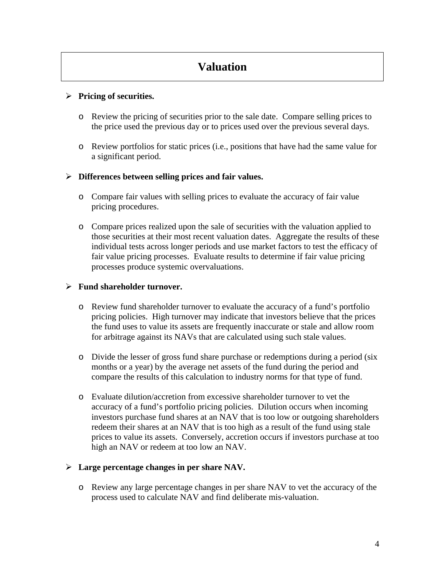# **Valuation**

# ¾ **Pricing of securities.**

- o Review the pricing of securities prior to the sale date. Compare selling prices to the price used the previous day or to prices used over the previous several days.
- o Review portfolios for static prices (i.e., positions that have had the same value for a significant period.

## ¾ **Differences between selling prices and fair values.**

- o Compare fair values with selling prices to evaluate the accuracy of fair value pricing procedures.
- o Compare prices realized upon the sale of securities with the valuation applied to those securities at their most recent valuation dates. Aggregate the results of these individual tests across longer periods and use market factors to test the efficacy of fair value pricing processes. Evaluate results to determine if fair value pricing processes produce systemic overvaluations.

## ¾ **Fund shareholder turnover.**

- o Review fund shareholder turnover to evaluate the accuracy of a fund's portfolio pricing policies. High turnover may indicate that investors believe that the prices the fund uses to value its assets are frequently inaccurate or stale and allow room for arbitrage against its NAVs that are calculated using such stale values.
- o Divide the lesser of gross fund share purchase or redemptions during a period (six months or a year) by the average net assets of the fund during the period and compare the results of this calculation to industry norms for that type of fund.
- o Evaluate dilution/accretion from excessive shareholder turnover to vet the accuracy of a fund's portfolio pricing policies. Dilution occurs when incoming investors purchase fund shares at an NAV that is too low or outgoing shareholders redeem their shares at an NAV that is too high as a result of the fund using stale prices to value its assets. Conversely, accretion occurs if investors purchase at too high an NAV or redeem at too low an NAV.

## ¾ **Large percentage changes in per share NAV.**

o Review any large percentage changes in per share NAV to vet the accuracy of the process used to calculate NAV and find deliberate mis-valuation.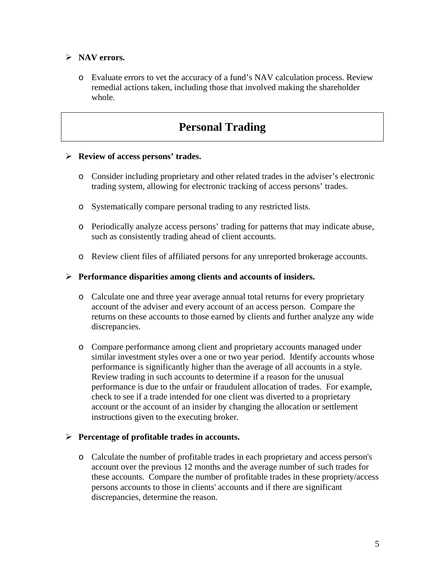# ¾ **NAV errors.**

o Evaluate errors to vet the accuracy of a fund's NAV calculation process. Review remedial actions taken, including those that involved making the shareholder whole.

# **Personal Trading**

#### ¾ **Review of access persons' trades.**

- o Consider including proprietary and other related trades in the adviser's electronic trading system, allowing for electronic tracking of access persons' trades.
- o Systematically compare personal trading to any restricted lists.
- o Periodically analyze access persons' trading for patterns that may indicate abuse, such as consistently trading ahead of client accounts.
- o Review client files of affiliated persons for any unreported brokerage accounts.

#### ¾ **Performance disparities among clients and accounts of insiders.**

- o Calculate one and three year average annual total returns for every proprietary account of the adviser and every account of an access person. Compare the returns on these accounts to those earned by clients and further analyze any wide discrepancies.
- o Compare performance among client and proprietary accounts managed under similar investment styles over a one or two year period. Identify accounts whose performance is significantly higher than the average of all accounts in a style. Review trading in such accounts to determine if a reason for the unusual performance is due to the unfair or fraudulent allocation of trades. For example, check to see if a trade intended for one client was diverted to a proprietary account or the account of an insider by changing the allocation or settlement instructions given to the executing broker.

#### ¾ **Percentage of profitable trades in accounts.**

o Calculate the number of profitable trades in each proprietary and access person's account over the previous 12 months and the average number of such trades for these accounts. Compare the number of profitable trades in these propriety/access persons accounts to those in clients' accounts and if there are significant discrepancies, determine the reason.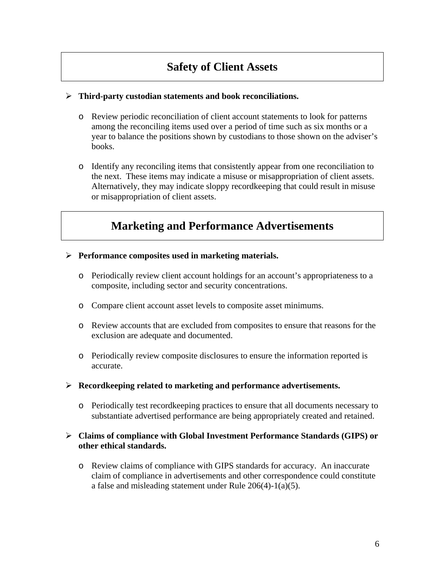# **Safety of Client Assets**

#### ¾ **Third-party custodian statements and book reconciliations.**

- o Review periodic reconciliation of client account statements to look for patterns among the reconciling items used over a period of time such as six months or a year to balance the positions shown by custodians to those shown on the adviser's books.
- o Identify any reconciling items that consistently appear from one reconciliation to the next. These items may indicate a misuse or misappropriation of client assets. Alternatively, they may indicate sloppy recordkeeping that could result in misuse or misappropriation of client assets.

# **Marketing and Performance Advertisements**

- ¾ **Performance composites used in marketing materials.**
	- o Periodically review client account holdings for an account's appropriateness to a composite, including sector and security concentrations.
	- o Compare client account asset levels to composite asset minimums.
	- o Review accounts that are excluded from composites to ensure that reasons for the exclusion are adequate and documented.
	- o Periodically review composite disclosures to ensure the information reported is accurate.
- ¾ **Recordkeeping related to marketing and performance advertisements.**
	- o Periodically test recordkeeping practices to ensure that all documents necessary to substantiate advertised performance are being appropriately created and retained.

#### ¾ **Claims of compliance with Global Investment Performance Standards (GIPS) or other ethical standards.**

o Review claims of compliance with GIPS standards for accuracy. An inaccurate claim of compliance in advertisements and other correspondence could constitute a false and misleading statement under Rule 206(4)-1(a)(5).